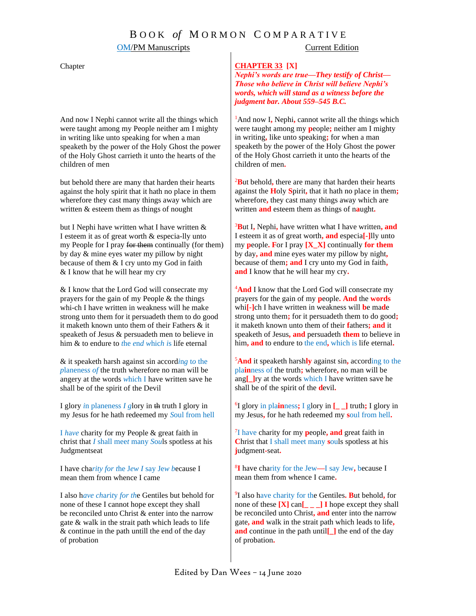## **OM/PM Manuscripts** Current Edition

#### Chapter

And now I Nephi cannot write all the things which were taught among my People neither am I mighty in writing like unto speaking for when a man speaketh by the power of the Holy Ghost the power of the Holy Ghost carrieth it unto the hearts of the children of men

but behold there are many that harden their hearts against the holy spirit that it hath no place in them wherefore they cast many things away which are written & esteem them as things of nought

but I Nephi have w*r*itten what I have written & I esteem it as of great worth & especia-lly unto my People for I pray for them continually (for them) by day & mine eyes water my pillow by night because of them & I cry unto my God in faith & I know that he will hear my cry

& I know that the Lord God will consecrate my prayers for the gain of my People & the things whi-ch I have written in weakness will he make strong unto them for it persuadeth them to do good it maketh known unto them of their Fathers & it speaketh of Jesus & persuadeth men to believe in him & to endure to *t*he *e*n*d w*hic*h i*s life eternal

& it speaketh harsh against sin accord*i*n*g* t*o* the *p*lanenes*s of* the truth wherefore no man will be angery at the words *w*hi*c*h I have written save he shall be of the spirit of the Devil

I glory *i*n planeness *I g*lory in th truth I glory in my Jesus for he hath redeemed my *S*oul from hell

I *h*a*ve* charity for my People & great faith in christ that *I* shall mee*t* many *S*o*u*ls spotless at his Judgmentseat

I have cha*rity for t*he J*ew I* say Je*w b*ecause I mean them from whence I came

I also h*ave ch*a*r*i*t*y *for th*e Gentiles but behold for none of these I cannot hope except they shall be reconciled unto Christ & enter into the narrow gate & walk in the strait path which leads to life & continue in the path untill the end of the day of probation

### **CHAPTER 33 [X]**

*Nephi's words are true—They testify of Christ— Those who believe in Christ will believe Nephi's words, which will stand as a witness before the judgment bar. About 559–545 B.C.*

<sup>1</sup>And now I, Nephi, cannot write all the things which were taught among my **p**eople**;** neither am I mighty in writing**,** like unto speaking**;** for when a man speaketh by the power of the Holy Ghost the power of the Holy Ghost carrieth it unto the hearts of the children of men**.**

<sup>2</sup>**B**ut behold**,** there are many that harden their hearts against the **H**oly **S**pirit**,** that it hath no place in them**;** wherefore**,** they cast many things away which are written **and** esteem them as things of n**a**ught**.**

<sup>3</sup>**B**ut I**,** Nephi**,** have written what I have written**, and** I esteem it as of great worth**, and** especia**[-]**lly unto my **p**eople**. F**or I pray **[X\_X]** continually **for them** by day**, and** mine eyes water my pillow by night**,** because of them**; and** I cry unto my God in faith**, and** I know that he will hear my cry**.**

<sup>4</sup>And I know that the Lord God will consecrate my prayers for the gain of my **p**eople**. And** the **words** whi**[-]**ch I have written in weakness will **b**e ma**d**e strong unto them**;** for it persuadeth them to do good**;** it maketh known unto them of their **f**athers**; and** it speaketh of Jesus**, and** persuadeth **them** to believe in him**, and** to endure to the end**,** which is life eternal**.**

<sup>5</sup>**And** it speaketh harsh**ly** against sin**,** according to the pla**in**ness of the truth**;** wherefore**,** no man will be ang**[\_]**ry at the words which I have written save he shall be of the spirit of the **d**evil**.**

6 I glory in pla**in**ness**;** I glory in **[\_ \_]** truth**;** I glory in my Jesus**,** for he hath redeemed my **s**oul from hell**.**

7 I have charity for my **p**eople**, and** great faith in **C**hrist that I shall meet many **s**ouls spotless at his **j**udgment**-**seat**.**

8 **I** have charity for the Jew**—**I say Jew**,** because I mean them from whence I came**.**

9 I also have charity for the Gentiles**. B**ut behold**,** for none of these **[X]** can**[\_ \_ \_] I** hope except they shall be reconciled unto Christ**, and** enter into the narrow gate**, and** walk in the strait path which leads to life**, and** continue in the path until**[\_]** the end of the day of probation**.**